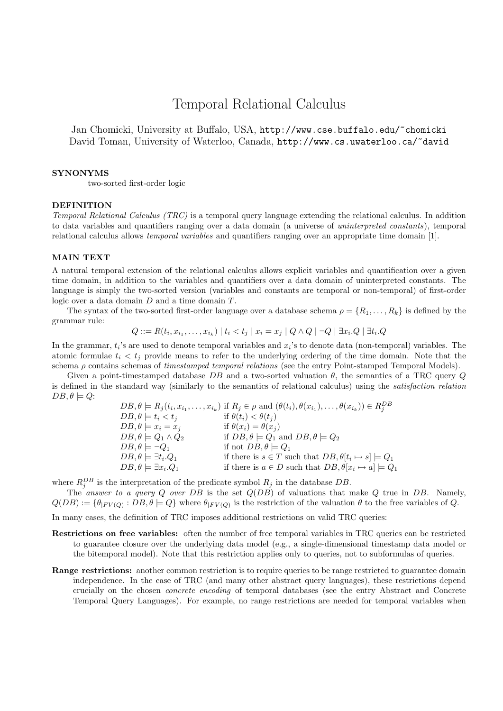# Temporal Relational Calculus

Jan Chomicki, University at Buffalo, USA, http://www.cse.buffalo.edu/~chomicki David Toman, University of Waterloo, Canada, http://www.cs.uwaterloo.ca/~david

### SYNONYMS

two-sorted first-order logic

#### DEFINITION

Temporal Relational Calculus (TRC) is a temporal query language extending the relational calculus. In addition to data variables and quantifiers ranging over a data domain (a universe of uninterpreted constants), temporal relational calculus allows temporal variables and quantifiers ranging over an appropriate time domain [1].

## MAIN TEXT

A natural temporal extension of the relational calculus allows explicit variables and quantification over a given time domain, in addition to the variables and quantifiers over a data domain of uninterpreted constants. The language is simply the two-sorted version (variables and constants are temporal or non-temporal) of first-order logic over a data domain D and a time domain T.

The syntax of the two-sorted first-order language over a database schema  $\rho = \{R_1, \ldots, R_k\}$  is defined by the grammar rule:

$$
Q ::= R(t_i, x_{i_1}, \dots, x_{i_k}) \mid t_i < t_j \mid x_i = x_j \mid Q \land Q \mid \neg Q \mid \exists x_i . Q \mid \exists t_i . Q
$$

In the grammar,  $t_i$ 's are used to denote temporal variables and  $x_i$ 's to denote data (non-temporal) variables. The atomic formulae  $t_i < t_j$  provide means to refer to the underlying ordering of the time domain. Note that the schema  $\rho$  contains schemas of *timestamped temporal relations* (see the entry Point-stamped Temporal Models).

Given a point-timestamped database DB and a two-sorted valuation  $\theta$ , the semantics of a TRC query Q is defined in the standard way (similarly to the semantics of relational calculus) using the satisfaction relation  $DB, \theta \models Q$ :

|                                        | $DB, \theta \models R_j(t_i, x_{i_1}, \ldots, x_{i_k})$ if $R_j \in \rho$ and $(\theta(t_i), \theta(x_{i_1}), \ldots, \theta(x_{i_k})) \in R_i^{DB}$ |
|----------------------------------------|------------------------------------------------------------------------------------------------------------------------------------------------------|
| $DB, \theta \models t_i < t_j$         | if $\theta(t_i) < \theta(t_i)$                                                                                                                       |
| $DB, \theta \models x_i = x_i$         | if $\theta(x_i) = \theta(x_i)$                                                                                                                       |
| $DB, \theta \models Q_1 \wedge Q_2$    | if $DB, \theta \models Q_1$ and $DB, \theta \models Q_2$                                                                                             |
| $DB, \theta \models \neg Q_1$          | if not $DB, \theta \models Q_1$                                                                                                                      |
| $DB, \theta \models \exists t_i. Q_1$  | if there is $s \in T$ such that $DB, \theta[t_i \mapsto s] \models Q_1$                                                                              |
| $DB, \theta \models \exists x_i . Q_1$ | if there is $a \in D$ such that $DB, \theta[x_i \mapsto a] \models Q_1$                                                                              |

where  $R_j^{DB}$  is the interpretation of the predicate symbol  $R_j$  in the database DB.

The answer to a query Q over DB is the set  $Q(DB)$  of valuations that make Q true in DB. Namely,  $Q(DB) := \{\theta_{|FV(Q)} : DB, \theta \models Q\}$  where  $\theta_{|FV(Q)}$  is the restriction of the valuation  $\theta$  to the free variables of Q.

In many cases, the definition of TRC imposes additional restrictions on valid TRC queries:

- Restrictions on free variables: often the number of free temporal variables in TRC queries can be restricted to guarantee closure over the underlying data model (e.g., a single-dimensional timestamp data model or the bitemporal model). Note that this restriction applies only to queries, not to subformulas of queries.
- **Range restrictions:** another common restriction is to require queries to be range restricted to guarantee domain independence. In the case of TRC (and many other abstract query languages), these restrictions depend crucially on the chosen concrete encoding of temporal databases (see the entry Abstract and Concrete Temporal Query Languages). For example, no range restrictions are needed for temporal variables when